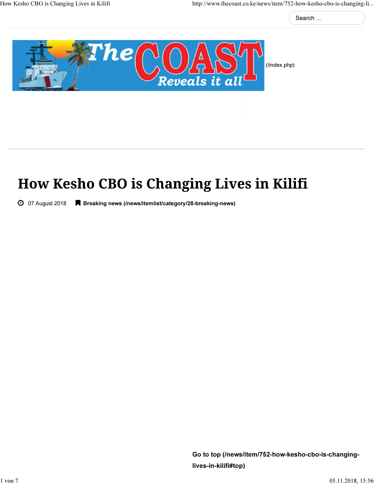Search ...



(/index.php)

# How Kesho CBO is Changing Lives in Kilifi

07 August 2018 Breaking news (/news/itemlist/category/28-breaking-news)

Go to top (/news/item/752-how-kesho-cbo-is-changinglives-in-kilifi#top)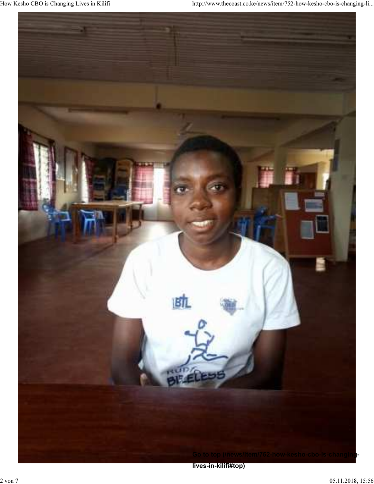

lives-in-kilifi#top)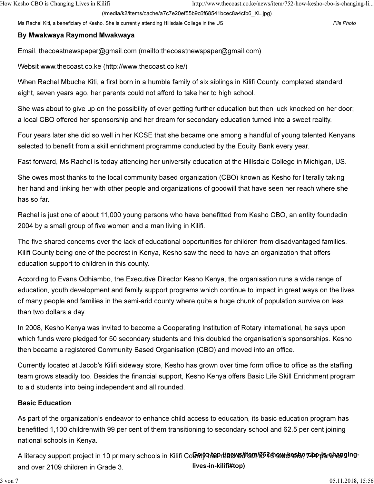(/media/k2/items/cache/a7c7e20ef55b9c6f68541bcec8a4cfb6\_XL.jpg)

Ms Rachel Kiti, a beneficiary of Kesho. She is currently attending Hillsdale College in the US File Photo

### By Mwakwaya Raymond Mwakwaya

Email, thecoastnewspaper@gmail.com (mailto:thecoastnewspaper@gmail.com)

Websit www.thecoast.co.ke (http://www.thecoast.co.ke/)

When Rachel Mbuche Kiti, a first born in a humble family of six siblings in Kilifi County, completed standard eight, seven years ago, her parents could not afford to take her to high school.

She was about to give up on the possibility of ever getting further education but then luck knocked on her door; a local CBO offered her sponsorship and her dream for secondary education turned into a sweet reality.

Four years later she did so well in her KCSE that she became one among a handful of young talented Kenyans selected to benefit from a skill enrichment programme conducted by the Equity Bank every year.

Fast forward, Ms Rachel is today attending her university education at the Hillsdale College in Michigan, US.

She owes most thanks to the local community based organization (CBO) known as Kesho for literally taking her hand and linking her with other people and organizations of goodwill that have seen her reach where she has so far.

Rachel is just one of about 11,000 young persons who have benefitted from Kesho CBO, an entity foundedin 2004 by a small group of five women and a man living in Kilifi.

The five shared concerns over the lack of educational opportunities for children from disadvantaged families. Kilifi County being one of the poorest in Kenya, Kesho saw the need to have an organization that offers education support to children in this county.

According to Evans Odhiambo, the Executive Director Kesho Kenya, the organisation runs a wide range of education, youth development and family support programs which continue to impact in great ways on the lives of many people and families in the semi-arid county where quite a huge chunk of population survive on less than two dollars a day.

In 2008, Kesho Kenya was invited to become a Cooperating Institution of Rotary international, he says upon which funds were pledged for 50 secondary students and this doubled the organisation's sponsorships. Kesho then became a registered Community Based Organisation (CBO) and moved into an office.

Currently located at Jacob's Kilifi sideway store, Kesho has grown over time form office to office as the staffing team grows steadily too. Besides the financial support, Kesho Kenya offers Basic Life Skill Enrichment program to aid students into being independent and all rounded.

## Basic Education

As part of the organization's endeavor to enhance child access to education, its basic education program has benefitted 1,100 childrenwith 99 per cent of them transitioning to secondary school and 62.5 per cent joining national schools in Kenya.

A literacy support project in 10 primary schools in Kilifi Co**Giণtyণাහ়<sup>p</sup>régemed tem/i652dnew<del>dnes</del>leo ቱስ parehasging**and over 2109 children in Grade 3. lives-in-kilifi#top)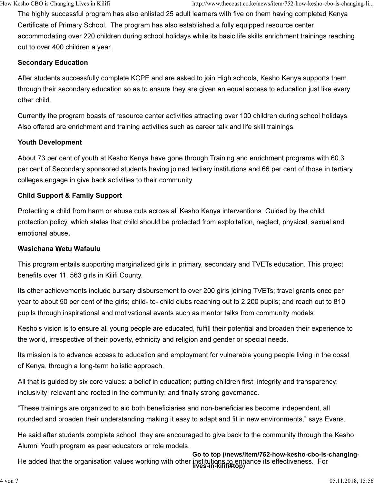The highly successful program has also enlisted 25 adult learners with five on them having completed Kenya Certificate of Primary School. The program has also established a fully equipped resource center accommodating over 220 children during school holidays while its basic life skills enrichment trainings reaching out to over 400 children a year.

#### Secondary Education

After students successfully complete KCPE and are asked to join High schools, Kesho Kenya supports them through their secondary education so as to ensure they are given an equal access to education just like every other child.

Currently the program boasts of resource center activities attracting over 100 children during school holidays. Also offered are enrichment and training activities such as career talk and life skill trainings.

#### Youth Development

About 73 per cent of youth at Kesho Kenya have gone through Training and enrichment programs with 60.3 per cent of Secondary sponsored students having joined tertiary institutions and 66 per cent of those in tertiary colleges engage in give back activities to their community.

### Child Support & Family Support

Protecting a child from harm or abuse cuts across all Kesho Kenya interventions. Guided by the child protection policy, which states that child should be protected from exploitation, neglect, physical, sexual and emotional abuse.

#### Wasichana Wetu Wafaulu

This program entails supporting marginalized girls in primary, secondary and TVETs education. This project benefits over 11, 563 girls in Kilifi County.

Its other achievements include bursary disbursement to over 200 girls joining TVETs; travel grants once per year to about 50 per cent of the girls; child- to- child clubs reaching out to 2,200 pupils; and reach out to 810 pupils through inspirational and motivational events such as mentor talks from community models.

Kesho's vision is to ensure all young people are educated, fulfill their potential and broaden their experience to the world, irrespective of their poverty, ethnicity and religion and gender or special needs.

Its mission is to advance access to education and employment for vulnerable young people living in the coast of Kenya, through a long-term holistic approach.

All that is guided by six core values: a belief in education; putting children first; integrity and transparency; inclusivity; relevant and rooted in the community; and finally strong governance.

"These trainings are organized to aid both beneficiaries and non-beneficiaries become independent, all rounded and broaden their understanding making it easy to adapt and fit in new environments," says Evans.

He said after students complete school, they are encouraged to give back to the community through the Kesho Alumni Youth program as peer educators or role models.

He added that the organisation values working with other institutions to enhance its effectiveness. For lives-in-kilifi#top) Go to top (/news/item/752-how-kesho-cbo-is-changing-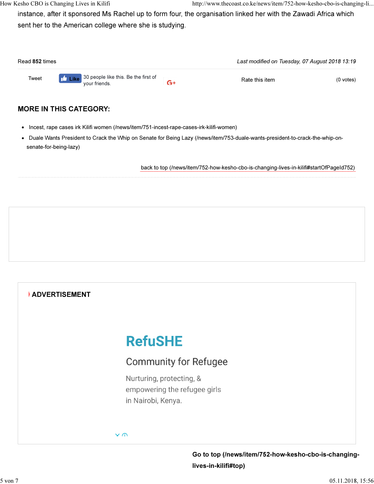instance, after it sponsored Ms Rachel up to form four, the organisation linked her with the Zawadi Africa which sent her to the American college where she is studying.

| Read 852 times |                                                                   |      |                | Last modified on Tuesday, 07 August 2018 13:19 |  |  |
|----------------|-------------------------------------------------------------------|------|----------------|------------------------------------------------|--|--|
| Tweet          | <b>Like</b> 30 people like this. Be the first of<br>vour friends. | $G+$ | Rate this item | $(0$ votes)                                    |  |  |

## MORE IN THIS CATEGORY:

- Incest, rape cases irk Kilifi women (/news/item/751-incest-rape-cases-irk-kilifi-women)
- Duale Wants President to Crack the Whip on Senate for Being Lazy (/news/item/753-duale-wants-president-to-crack-the-whip-onsenate-for-being-lazy)

back to top (/news/item/752-how-kesho-cbo-is-changing-lives-in-kilifi#startOfPageId752)



Go to top (/news/item/752-how-kesho-cbo-is-changinglives-in-kilifi#top)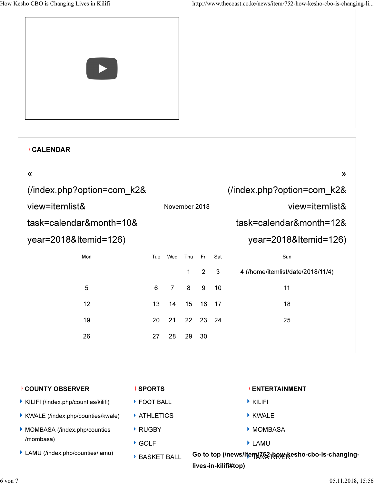| $\blacktriangleright$ |  |
|-----------------------|--|
|-----------------------|--|

|                            | <b>CALENDAR</b>       |               |                |              |                |              |                                   |
|----------------------------|-----------------------|---------------|----------------|--------------|----------------|--------------|-----------------------------------|
|                            | 《                     |               |                |              |                |              | $\lambda$                         |
| (/index.php?option=com k2& |                       |               |                |              |                |              | (/index.php?option=com k2&        |
| view=itemlist&             |                       | November 2018 |                |              |                |              | view=itemlist&                    |
| task=calendar&month=10&    |                       |               |                |              |                |              | task=calendar&month=12&           |
|                            | year=2018&Itemid=126) |               |                |              |                |              | year=2018&Itemid=126)             |
|                            | Mon                   | Tue           | Wed            | Thu          | Fri            | Sat          | Sun                               |
|                            |                       |               |                | $\mathbf{1}$ | $\overline{2}$ | $\mathbf{3}$ | 4 (/home/itemlist/date/2018/11/4) |
|                            | 5                     | 6             | $\overline{7}$ | 8            | 9              | 10           | 11                                |
|                            | 12                    | 13            | 14             | 15           | 16             | - 17         | 18                                |
|                            | 19                    | 20            | 21             | 22           | 23 24          |              | 25                                |
|                            | 26                    | 27            | 28             | 29           | 30             |              |                                   |
|                            |                       |               |                |              |                |              |                                   |

| <b>COUNTY OBSERVER</b>                | <b>SPORTS</b>                   | <b>ENTERTAINMENT</b>                                                                                                                                                                                                                     |
|---------------------------------------|---------------------------------|------------------------------------------------------------------------------------------------------------------------------------------------------------------------------------------------------------------------------------------|
| ▶ KILIFI (/index.php/counties/kilifi) | FOOT BALL                       | $\triangleright$ KILIFI                                                                                                                                                                                                                  |
| ▶ KWALE (/index.php/counties/kwale)   | $\blacktriangleright$ ATHLETICS | ▶ KWALE                                                                                                                                                                                                                                  |
| MOMBASA (/index.php/counties          | $\blacktriangleright$ RUGBY     | MOMBASA                                                                                                                                                                                                                                  |
| /mombasa)                             | $\blacktriangleright$ GOLF      | $\blacktriangleright$ LAMU                                                                                                                                                                                                               |
| • LAMU (/index.php/counties/lamu)     | <b>BASKET BALL</b>              | Go to top (/news/item/ \text{\defa{}}}}\$ depth (\text{\defa{}}}{A}}\$ depth (\text{\defa{}}}}\$ depth (\text{)}\$ depth (\text{)}\$ depth (\text{)}\$ depth (\text{)}\$ depth (\text{)}\$ depth (\text{)}\$ depth (\text{)}\$ depth (\t |
|                                       |                                 | lives-in-kilifi#top)                                                                                                                                                                                                                     |